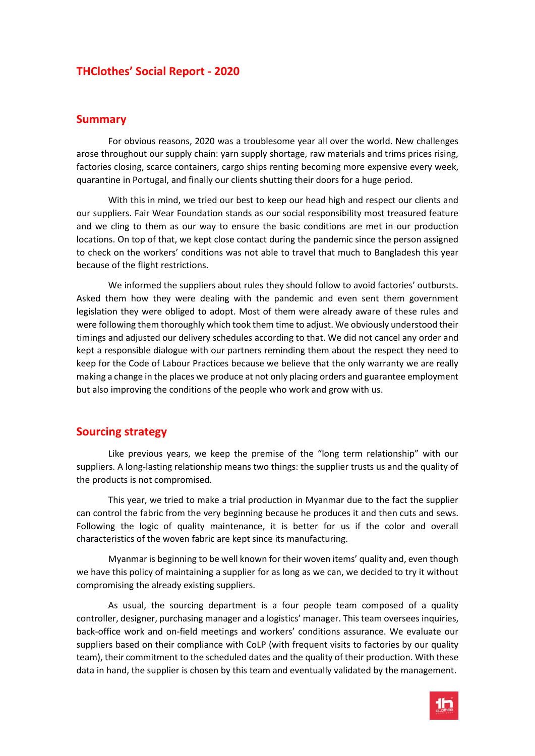## **THClothes' Social Report - 2020**

#### **Summary**

For obvious reasons, 2020 was a troublesome year all over the world. New challenges arose throughout our supply chain: yarn supply shortage, raw materials and trims prices rising, factories closing, scarce containers, cargo ships renting becoming more expensive every week, quarantine in Portugal, and finally our clients shutting their doors for a huge period.

With this in mind, we tried our best to keep our head high and respect our clients and our suppliers. Fair Wear Foundation stands as our social responsibility most treasured feature and we cling to them as our way to ensure the basic conditions are met in our production locations. On top of that, we kept close contact during the pandemic since the person assigned to check on the workers' conditions was not able to travel that much to Bangladesh this year because of the flight restrictions.

We informed the suppliers about rules they should follow to avoid factories' outbursts. Asked them how they were dealing with the pandemic and even sent them government legislation they were obliged to adopt. Most of them were already aware of these rules and were following them thoroughly which took them time to adjust. We obviously understood their timings and adjusted our delivery schedules according to that. We did not cancel any order and kept a responsible dialogue with our partners reminding them about the respect they need to keep for the Code of Labour Practices because we believe that the only warranty we are really making a change in the places we produce at not only placing orders and guarantee employment but also improving the conditions of the people who work and grow with us.

#### **Sourcing strategy**

Like previous years, we keep the premise of the "long term relationship" with our suppliers. A long-lasting relationship means two things: the supplier trusts us and the quality of the products is not compromised.

This year, we tried to make a trial production in Myanmar due to the fact the supplier can control the fabric from the very beginning because he produces it and then cuts and sews. Following the logic of quality maintenance, it is better for us if the color and overall characteristics of the woven fabric are kept since its manufacturing.

Myanmar is beginning to be well known for their woven items' quality and, even though we have this policy of maintaining a supplier for as long as we can, we decided to try it without compromising the already existing suppliers.

As usual, the sourcing department is a four people team composed of a quality controller, designer, purchasing manager and a logistics' manager. This team oversees inquiries, back-office work and on-field meetings and workers' conditions assurance. We evaluate our suppliers based on their compliance with CoLP (with frequent visits to factories by our quality team), their commitment to the scheduled dates and the quality of their production. With these data in hand, the supplier is chosen by this team and eventually validated by the management.

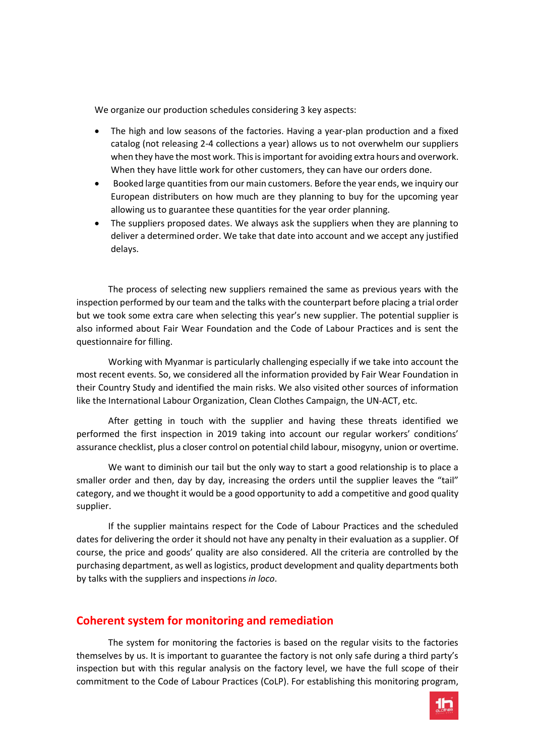We organize our production schedules considering 3 key aspects:

- The high and low seasons of the factories. Having a year-plan production and a fixed catalog (not releasing 2-4 collections a year) allows us to not overwhelm our suppliers when they have the most work. This is important for avoiding extra hours and overwork. When they have little work for other customers, they can have our orders done.
- Booked large quantities from our main customers. Before the year ends, we inquiry our European distributers on how much are they planning to buy for the upcoming year allowing us to guarantee these quantities for the year order planning.
- The suppliers proposed dates. We always ask the suppliers when they are planning to deliver a determined order. We take that date into account and we accept any justified delays.

The process of selecting new suppliers remained the same as previous years with the inspection performed by our team and the talks with the counterpart before placing a trial order but we took some extra care when selecting this year's new supplier. The potential supplier is also informed about Fair Wear Foundation and the Code of Labour Practices and is sent the questionnaire for filling.

Working with Myanmar is particularly challenging especially if we take into account the most recent events. So, we considered all the information provided by Fair Wear Foundation in their Country Study and identified the main risks. We also visited other sources of information like the International Labour Organization, Clean Clothes Campaign, the UN-ACT, etc.

After getting in touch with the supplier and having these threats identified we performed the first inspection in 2019 taking into account our regular workers' conditions' assurance checklist, plus a closer control on potential child labour, misogyny, union or overtime.

We want to diminish our tail but the only way to start a good relationship is to place a smaller order and then, day by day, increasing the orders until the supplier leaves the "tail" category, and we thought it would be a good opportunity to add a competitive and good quality supplier.

If the supplier maintains respect for the Code of Labour Practices and the scheduled dates for delivering the order it should not have any penalty in their evaluation as a supplier. Of course, the price and goods' quality are also considered. All the criteria are controlled by the purchasing department, as well as logistics, product development and quality departments both by talks with the suppliers and inspections *in loco*.

## **Coherent system for monitoring and remediation**

The system for monitoring the factories is based on the regular visits to the factories themselves by us. It is important to guarantee the factory is not only safe during a third party's inspection but with this regular analysis on the factory level, we have the full scope of their commitment to the Code of Labour Practices (CoLP). For establishing this monitoring program,

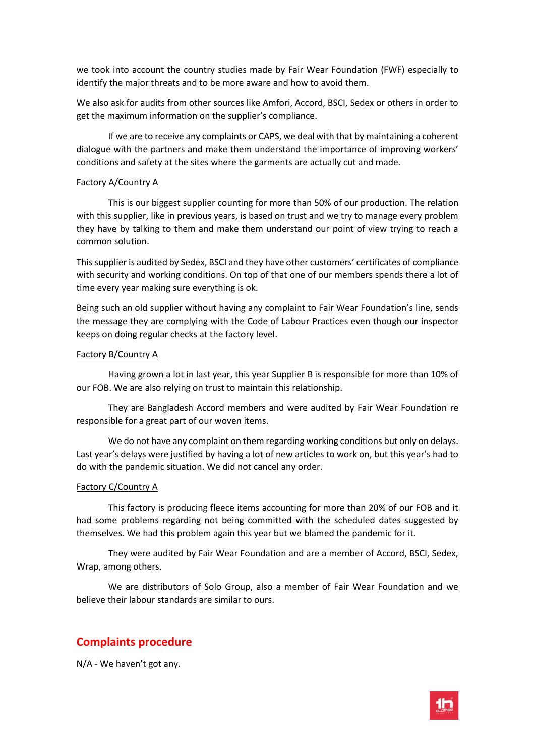we took into account the country studies made by Fair Wear Foundation (FWF) especially to identify the major threats and to be more aware and how to avoid them.

We also ask for audits from other sources like Amfori, Accord, BSCI, Sedex or others in order to get the maximum information on the supplier's compliance.

If we are to receive any complaints or CAPS, we deal with that by maintaining a coherent dialogue with the partners and make them understand the importance of improving workers' conditions and safety at the sites where the garments are actually cut and made.

#### Factory A/Country A

This is our biggest supplier counting for more than 50% of our production. The relation with this supplier, like in previous years, is based on trust and we try to manage every problem they have by talking to them and make them understand our point of view trying to reach a common solution.

This supplier is audited by Sedex, BSCI and they have other customers' certificates of compliance with security and working conditions. On top of that one of our members spends there a lot of time every year making sure everything is ok.

Being such an old supplier without having any complaint to Fair Wear Foundation's line, sends the message they are complying with the Code of Labour Practices even though our inspector keeps on doing regular checks at the factory level.

#### Factory B/Country A

Having grown a lot in last year, this year Supplier B is responsible for more than 10% of our FOB. We are also relying on trust to maintain this relationship.

They are Bangladesh Accord members and were audited by Fair Wear Foundation re responsible for a great part of our woven items.

We do not have any complaint on them regarding working conditions but only on delays. Last year's delays were justified by having a lot of new articles to work on, but this year's had to do with the pandemic situation. We did not cancel any order.

#### Factory C/Country A

This factory is producing fleece items accounting for more than 20% of our FOB and it had some problems regarding not being committed with the scheduled dates suggested by themselves. We had this problem again this year but we blamed the pandemic for it.

They were audited by Fair Wear Foundation and are a member of Accord, BSCI, Sedex, Wrap, among others.

We are distributors of Solo Group, also a member of Fair Wear Foundation and we believe their labour standards are similar to ours.

# **Complaints procedure**

N/A - We haven't got any.